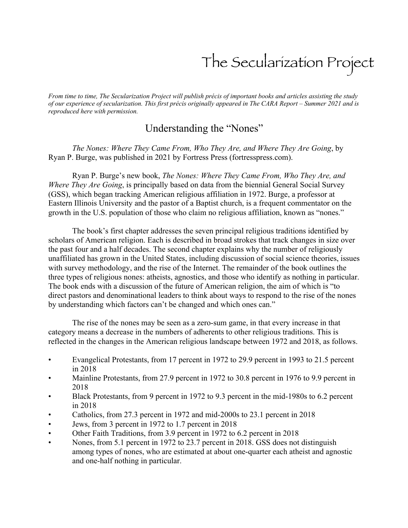## The Secularization Project

*From time to time, The Secularization Project will publish précis of important books and articles assisting the study of our experience of secularization. This first précis originally appeared in The CARA Report – Summer 2021 and is reproduced here with permission.*

## Understanding the "Nones"

*The Nones: Where They Came From, Who They Are, and Where They Are Going*, by Ryan P. Burge, was published in 2021 by Fortress Press (fortresspress.com).

Ryan P. Burge's new book, *The Nones: Where They Came From, Who They Are, and Where They Are Going*, is principally based on data from the biennial General Social Survey (GSS), which began tracking American religious affiliation in 1972. Burge, a professor at Eastern Illinois University and the pastor of a Baptist church, is a frequent commentator on the growth in the U.S. population of those who claim no religious affiliation, known as "nones."

The book's first chapter addresses the seven principal religious traditions identified by scholars of American religion. Each is described in broad strokes that track changes in size over the past four and a half decades. The second chapter explains why the number of religiously unaffiliated has grown in the United States, including discussion of social science theories, issues with survey methodology, and the rise of the Internet. The remainder of the book outlines the three types of religious nones: atheists, agnostics, and those who identify as nothing in particular. The book ends with a discussion of the future of American religion, the aim of which is "to direct pastors and denominational leaders to think about ways to respond to the rise of the nones by understanding which factors can't be changed and which ones can."

The rise of the nones may be seen as a zero-sum game, in that every increase in that category means a decrease in the numbers of adherents to other religious traditions. This is reflected in the changes in the American religious landscape between 1972 and 2018, as follows.

- Evangelical Protestants, from 17 percent in 1972 to 29.9 percent in 1993 to 21.5 percent in 2018
- Mainline Protestants, from 27.9 percent in 1972 to 30.8 percent in 1976 to 9.9 percent in 2018
- Black Protestants, from 9 percent in 1972 to 9.3 percent in the mid-1980s to 6.2 percent in 2018
- Catholics, from 27.3 percent in 1972 and mid-2000s to 23.1 percent in 2018
- Jews, from 3 percent in 1972 to 1.7 percent in 2018
- Other Faith Traditions, from 3.9 percent in 1972 to 6.2 percent in 2018
- Nones, from 5.1 percent in 1972 to 23.7 percent in 2018. GSS does not distinguish among types of nones, who are estimated at about one-quarter each atheist and agnostic and one-half nothing in particular.